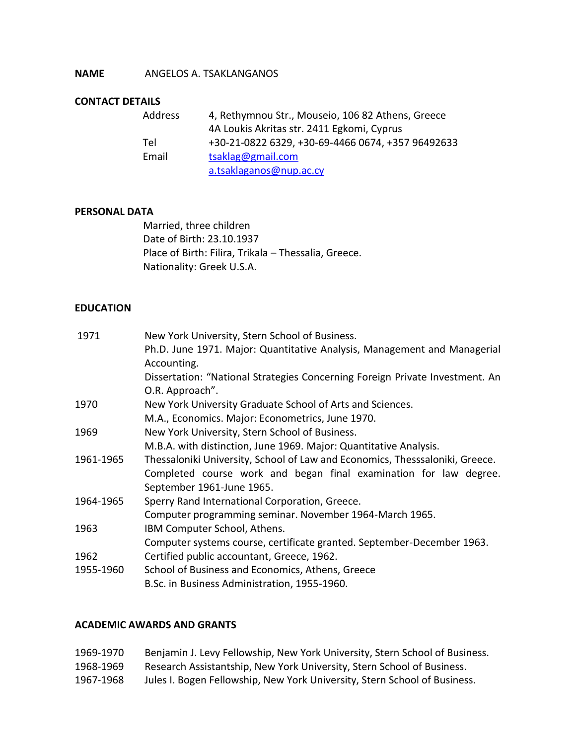## **NAME** ANGELOS A. TSAKLANGANOS

# **CONTACT DETAILS**

| Address | 4, Rethymnou Str., Mouseio, 106 82 Athens, Greece |
|---------|---------------------------------------------------|
|         | 4A Loukis Akritas str. 2411 Egkomi, Cyprus        |
| Tel     | +30-21-0822 6329, +30-69-4466 0674, +357 96492633 |
| Email   | tsaklag@gmail.com                                 |
|         | a.tsaklaganos@nup.ac.cy                           |

#### **PERSONAL DATA**

Married, three children Date of Birth: 23.10.1937 Place of Birth: Filira, Trikala – Thessalia, Greece. Nationality: Greek U.S.A.

#### **EDUCATION**

| 1971      | New York University, Stern School of Business.                               |
|-----------|------------------------------------------------------------------------------|
|           | Ph.D. June 1971. Major: Quantitative Analysis, Management and Managerial     |
|           | Accounting.                                                                  |
|           | Dissertation: "National Strategies Concerning Foreign Private Investment. An |
|           | O.R. Approach".                                                              |
| 1970      | New York University Graduate School of Arts and Sciences.                    |
|           | M.A., Economics. Major: Econometrics, June 1970.                             |
| 1969      | New York University, Stern School of Business.                               |
|           | M.B.A. with distinction, June 1969. Major: Quantitative Analysis.            |
| 1961-1965 | Thessaloniki University, School of Law and Economics, Thesssaloniki, Greece. |
|           | Completed course work and began final examination for law degree.            |
|           | September 1961-June 1965.                                                    |
| 1964-1965 | Sperry Rand International Corporation, Greece.                               |
|           | Computer programming seminar. November 1964-March 1965.                      |
| 1963      | IBM Computer School, Athens.                                                 |
|           | Computer systems course, certificate granted. September-December 1963.       |
| 1962      | Certified public accountant, Greece, 1962.                                   |
| 1955-1960 | School of Business and Economics, Athens, Greece                             |
|           | B.Sc. in Business Administration, 1955-1960.                                 |

#### **ACADEMIC AWARDS AND GRANTS**

| 1969-1970 | Benjamin J. Levy Fellowship, New York University, Stern School of Business. |
|-----------|-----------------------------------------------------------------------------|
| 1968-1969 | Research Assistantship, New York University, Stern School of Business.      |
| 1967-1968 | Jules I. Bogen Fellowship, New York University, Stern School of Business.   |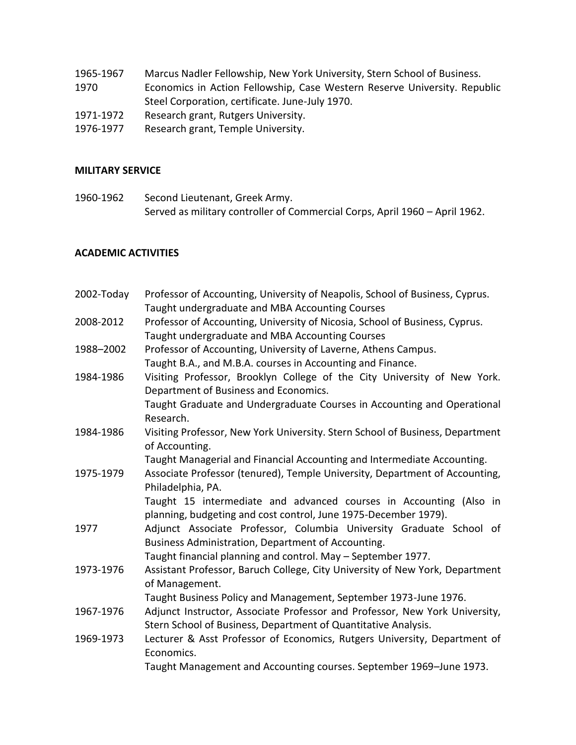- 1965-1967 Marcus Nadler Fellowship, New York University, Stern School of Business. 1970 Economics in Action Fellowship, Case Western Reserve University. Republic Steel Corporation, certificate. June-July 1970. 1971-1972 Research grant, Rutgers University.
- 1976-1977 Research grant, Temple University.

#### **MILITARY SERVICE**

1960-1962 Second Lieutenant, Greek Army. Served as military controller of Commercial Corps, April 1960 – April 1962.

## **ACADEMIC ACTIVITIES**

| 2002-Today | Professor of Accounting, University of Neapolis, School of Business, Cyprus.<br>Taught undergraduate and MBA Accounting Courses                                                           |
|------------|-------------------------------------------------------------------------------------------------------------------------------------------------------------------------------------------|
| 2008-2012  | Professor of Accounting, University of Nicosia, School of Business, Cyprus.<br>Taught undergraduate and MBA Accounting Courses                                                            |
| 1988-2002  | Professor of Accounting, University of Laverne, Athens Campus.<br>Taught B.A., and M.B.A. courses in Accounting and Finance.                                                              |
| 1984-1986  | Visiting Professor, Brooklyn College of the City University of New York.<br>Department of Business and Economics.                                                                         |
|            | Taught Graduate and Undergraduate Courses in Accounting and Operational<br>Research.                                                                                                      |
| 1984-1986  | Visiting Professor, New York University. Stern School of Business, Department<br>of Accounting.                                                                                           |
|            | Taught Managerial and Financial Accounting and Intermediate Accounting.                                                                                                                   |
| 1975-1979  | Associate Professor (tenured), Temple University, Department of Accounting,<br>Philadelphia, PA.                                                                                          |
|            | Taught 15 intermediate and advanced courses in Accounting (Also in<br>planning, budgeting and cost control, June 1975-December 1979).                                                     |
| 1977       | Adjunct Associate Professor, Columbia University Graduate School of<br>Business Administration, Department of Accounting.<br>Taught financial planning and control. May - September 1977. |
| 1973-1976  | Assistant Professor, Baruch College, City University of New York, Department<br>of Management.                                                                                            |
|            | Taught Business Policy and Management, September 1973-June 1976.                                                                                                                          |
| 1967-1976  | Adjunct Instructor, Associate Professor and Professor, New York University,<br>Stern School of Business, Department of Quantitative Analysis.                                             |
| 1969-1973  | Lecturer & Asst Professor of Economics, Rutgers University, Department of<br>Economics.                                                                                                   |
|            | Taught Management and Accounting courses. September 1969-June 1973.                                                                                                                       |
|            |                                                                                                                                                                                           |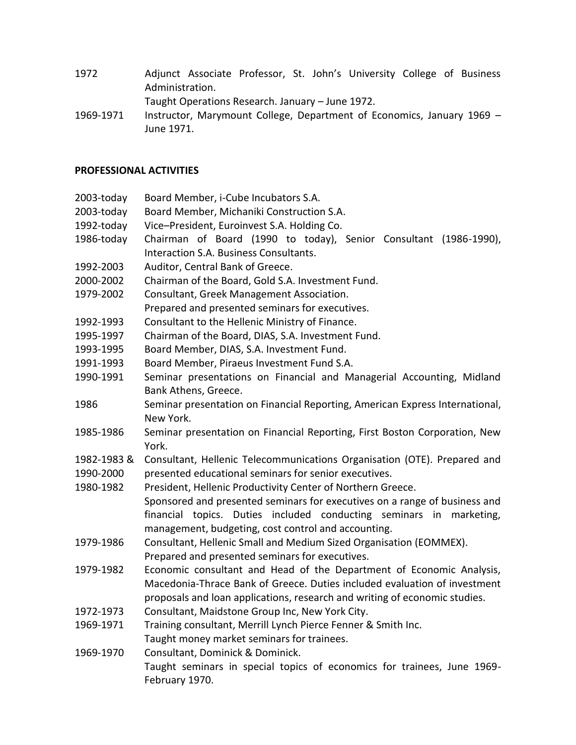1972 Adjunct Associate Professor, St. John's University College of Business Administration.

Taught Operations Research. January – June 1972.

1969-1971 Instructor, Marymount College, Department of Economics, January 1969 – June 1971.

## **PROFESSIONAL ACTIVITIES**

- 2003-today Board Member, i-Cube Incubators S.A.
- 2003-today Board Member, Michaniki Construction S.A.
- 1992-today Vice–President, Euroinvest S.A. Holding Co.
- 1986-today Chairman of Board (1990 to today), Senior Consultant (1986-1990), Interaction S.A. Business Consultants.
- 1992-2003 Auditor, Central Bank of Greece.
- 2000-2002 Chairman of the Board, Gold S.A. Investment Fund.
- 1979-2002 Consultant, Greek Management Association.
- Prepared and presented seminars for executives.
- 1992-1993 Consultant to the Hellenic Ministry of Finance.
- 1995-1997 Chairman of the Board, DIAS, S.A. Investment Fund.
- 1993-1995 Board Member, DIAS, S.A. Investment Fund.
- 1991-1993 Board Member, Piraeus Investment Fund S.A.
- 1990-1991 Seminar presentations on Financial and Managerial Accounting, Midland Bank Athens, Greece.
- 1986 Seminar presentation on Financial Reporting, American Express International, New York.
- 1985-1986 Seminar presentation on Financial Reporting, First Boston Corporation, New York.
- 1982-1983 & Consultant, Hellenic Telecommunications Organisation (OTE). Prepared and 1990-2000 presented educational seminars for senior executives.
- 1980-1982 President, Hellenic Productivity Center of Northern Greece. Sponsored and presented seminars for executives on a range of business and financial topics. Duties included conducting seminars in marketing,
- management, budgeting, cost control and accounting. 1979-1986 Consultant, Hellenic Small and Medium Sized Organisation (EOMMEX).
- Prepared and presented seminars for executives.
- 1979-1982 Economic consultant and Head of the Department of Economic Analysis, Macedonia-Thrace Bank of Greece. Duties included evaluation of investment proposals and loan applications, research and writing of economic studies.
- 1972-1973 Consultant, Maidstone Group Inc, New York City.
- 1969-1971 Training consultant, Merrill Lynch Pierce Fenner & Smith Inc. Taught money market seminars for trainees.
- 1969-1970 Consultant, Dominick & Dominick. Taught seminars in special topics of economics for trainees, June 1969- February 1970.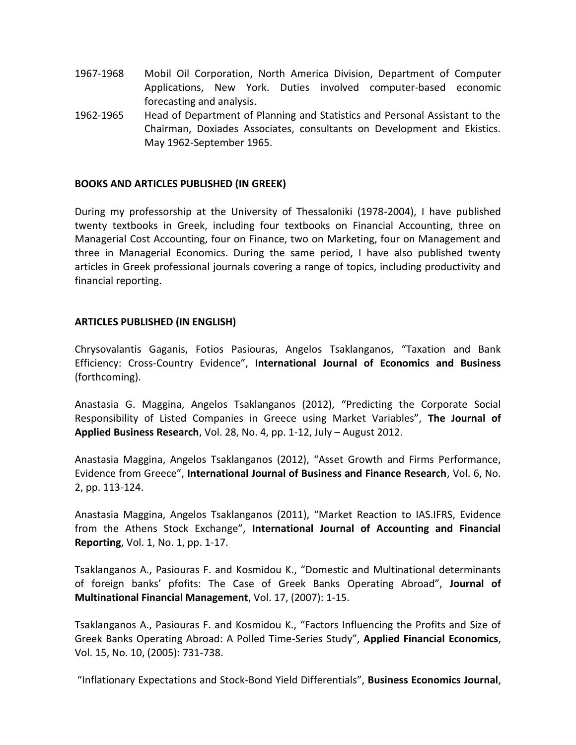- 1967-1968 Mobil Oil Corporation, North America Division, Department of Computer Applications, New York. Duties involved computer-based economic forecasting and analysis.
- 1962-1965 Head of Department of Planning and Statistics and Personal Assistant to the Chairman, Doxiades Associates, consultants on Development and Ekistics. May 1962-September 1965.

## **BOOKS AND ARTICLES PUBLISHED (IN GREEK)**

During my professorship at the University of Thessaloniki (1978-2004), I have published twenty textbooks in Greek, including four textbooks on Financial Accounting, three on Managerial Cost Accounting, four on Finance, two on Marketing, four on Management and three in Managerial Economics. During the same period, I have also published twenty articles in Greek professional journals covering a range of topics, including productivity and financial reporting.

#### **ARTICLES PUBLISHED (IN ENGLISH)**

Chrysovalantis Gaganis, Fotios Pasiouras, Angelos Tsaklanganos, "Taxation and Bank Efficiency: Cross-Country Evidence", **International Journal of Economics and Business** (forthcoming).

Anastasia G. Maggina, Angelos Tsaklanganos (2012), "Predicting the Corporate Social Responsibility of Listed Companies in Greece using Market Variables", **The Journal of Applied Business Research**, Vol. 28, No. 4, pp. 1-12, July – August 2012.

Anastasia Maggina, Angelos Tsaklanganos (2012), "Asset Growth and Firms Performance, Evidence from Greece", **International Journal of Business and Finance Research**, Vol. 6, No. 2, pp. 113-124.

Anastasia Maggina, Angelos Tsaklanganos (2011), "Market Reaction to IAS.IFRS, Evidence from the Athens Stock Exchange", **International Journal of Accounting and Financial Reporting**, Vol. 1, No. 1, pp. 1-17.

Tsaklanganos A., Pasiouras F. and Kosmidou K., "Domestic and Multinational determinants of foreign banks' pfofits: The Case of Greek Banks Operating Abroad", **Journal of Multinational Financial Management**, Vol. 17, (2007): 1-15.

Tsaklanganos A., Pasiouras F. and Kosmidou K., "Factors Influencing the Profits and Size of Greek Banks Operating Abroad: A Polled Time-Series Study", **Applied Financial Economics**, Vol. 15, No. 10, (2005): 731-738.

"Inflationary Expectations and Stock-Bond Yield Differentials", **Business Economics Journal**,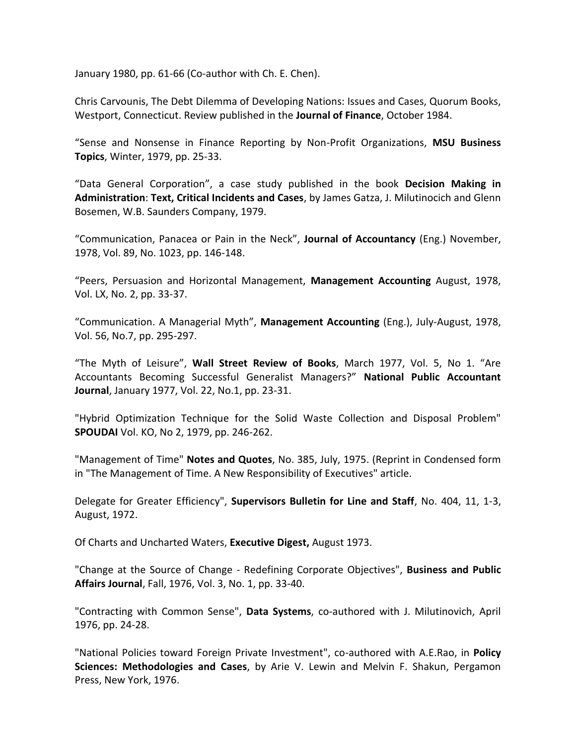January 1980, pp. 61-66 (Co-author with Ch. E. Chen).

Chris Carvounis, The Debt Dilemma of Developing Nations: Issues and Cases, Quorum Books, Westport, Connecticut. Review published in the **Journal of Finance**, October 1984.

"Sense and Nonsense in Finance Reporting by Non-Profit Organizations, **MSU Business Topics**, Winter, 1979, pp. 25-33.

"Data General Corporation", a case study published in the book **Decision Making in Administration**: **Text, Critical Incidents and Cases**, by James Gatza, J. Milutinocich and Glenn Bosemen, W.B. Saunders Company, 1979.

"Communication, Panacea or Pain in the Neck", **Journal of Accountancy** (Eng.) November, 1978, Vol. 89, No. 1023, pp. 146-148.

"Peers, Persuasion and Horizontal Management, **Management Accounting** August, 1978, Vol. LX, No. 2, pp. 33-37.

"Communication. A Managerial Myth", **Management Accounting** (Eng.), July-August, 1978, Vol. 56, No.7, pp. 295-297.

"The Myth of Leisure", **Wall Street Review of Books**, March 1977, Vol. 5, No 1. "Are Accountants Becoming Successful Generalist Managers?" **National Public Accountant Journal**, January 1977, Vol. 22, No.1, pp. 23-31.

"Hybrid Optimization Technique for the Solid Waste Collection and Disposal Problem" **SPOUDAI** Vol. KO, No 2, 1979, pp. 246-262.

"Management of Time" **Notes and Quotes**, No. 385, July, 1975. (Reprint in Condensed form in "The Management of Time. A New Responsibility of Executives" article.

Delegate for Greater Efficiency", **Supervisors Bulletin for Line and Staff**, No. 404, 11, 1-3, August, 1972.

Of Charts and Uncharted Waters, **Executive Digest,** August 1973.

"Change at the Source of Change - Redefining Corporate Objectives", **Business and Public Affairs Journal**, Fall, 1976, Vol. 3, No. 1, pp. 33-40.

"Contracting with Common Sense", **Data Systems**, co-authored with J. Milutinovich, April 1976, pp. 24-28.

"National Policies toward Foreign Private Investment", co-authored with A.E.Rao, in **Policy Sciences: Methodologies and Cases**, by Arie V. Lewin and Melvin F. Shakun, Pergamon Press, New York, 1976.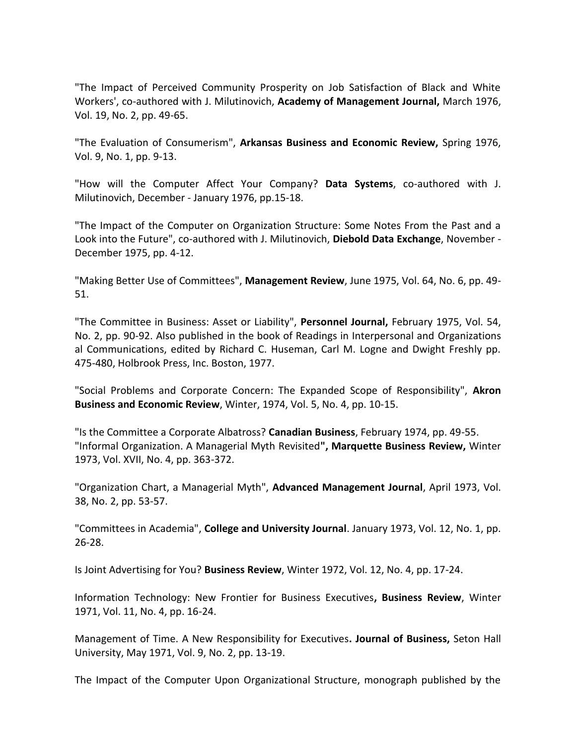"The Impact of Perceived Community Prosperity on Job Satisfaction of Black and White Workers', co-authored with J. Milutinovich, **Academy of Management Journal,** March 1976, Vol. 19, No. 2, pp. 49-65.

"The Evaluation of Consumerism", **Arkansas Business and Economic Review,** Spring 1976, Vol. 9, No. 1, pp. 9-13.

"How will the Computer Affect Your Company? **Data Systems**, co-authored with J. Milutinovich, December - January 1976, pp.15-18.

"The Impact of the Computer on Organization Structure: Some Notes From the Past and a Look into the Future", co-authored with J. Milutinovich, **Diebold Data Exchange**, November - December 1975, pp. 4-12.

"Making Better Use of Committees", **Management Review**, June 1975, Vol. 64, No. 6, pp. 49- 51.

"The Committee in Business: Asset or Liability", **Personnel Journal,** February 1975, Vol. 54, No. 2, pp. 90-92. Also published in the book of Readings in Interpersonal and Organizations al Communications, edited by Richard C. Huseman, Carl M. Logne and Dwight Freshly pp. 475-480, Holbrook Press, Inc. Boston, 1977.

"Social Problems and Corporate Concern: The Expanded Scope of Responsibility", **Akron Business and Economic Review**, Winter, 1974, Vol. 5, No. 4, pp. 10-15.

"Is the Committee a Corporate Albatross? **Canadian Business**, February 1974, pp. 49-55. "Informal Organization. A Managerial Myth Revisited**", Marquette Business Review,** Winter 1973, Vol. XVII, No. 4, pp. 363-372.

"Organization Chart, a Managerial Myth", **Advanced Management Journal**, April 1973, Vol. 38, No. 2, pp. 53-57.

"Committees in Academia", **College and University Journal**. January 1973, Vol. 12, No. 1, pp. 26-28.

Is Joint Advertising for You? **Business Review**, Winter 1972, Vol. 12, No. 4, pp. 17-24.

Information Technology: New Frontier for Business Executives**, Business Review**, Winter 1971, Vol. 11, No. 4, pp. 16-24.

Management of Time. A New Responsibility for Executives**. Journal of Business,** Seton Hall University, May 1971, Vol. 9, No. 2, pp. 13-19.

The Impact of the Computer Upon Organizational Structure, monograph published by the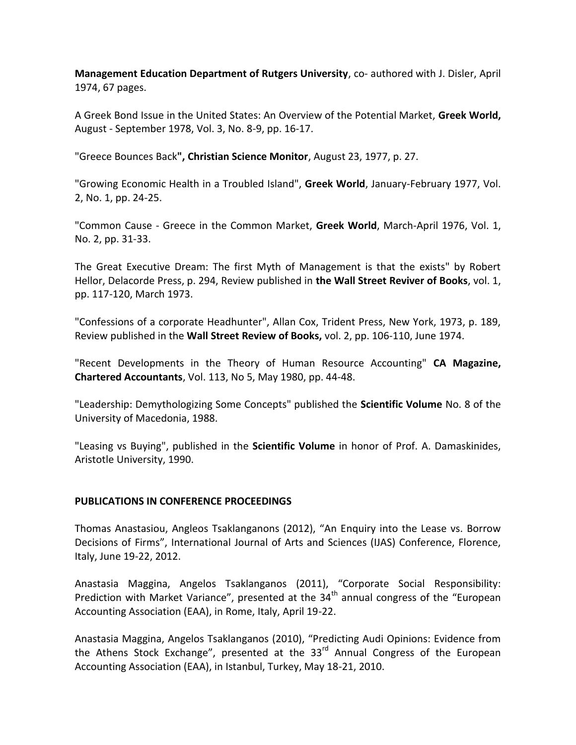**Management Education Department of Rutgers University**, co- authored with J. Disler, April 1974, 67 pages.

A Greek Bond Issue in the United States: An Overview of the Potential Market, **Greek World,** August - September 1978, Vol. 3, No. 8-9, pp. 16-17.

"Greece Bounces Back**", Christian Science Monitor**, August 23, 1977, p. 27.

"Growing Economic Health in a Troubled Island", **Greek World**, January-February 1977, Vol. 2, No. 1, pp. 24-25.

"Common Cause - Greece in the Common Market, **Greek World**, March-April 1976, Vol. 1, No. 2, pp. 31-33.

The Great Executive Dream: The first Myth of Management is that the exists" by Robert Hellor, Delacorde Press, p. 294, Review published in **the Wall Street Reviver of Books**, vol. 1, pp. 117-120, March 1973.

"Confessions of a corporate Headhunter", Allan Cox, Trident Press, New York, 1973, p. 189, Review published in the **Wall Street Review of Books,** vol. 2, pp. 106-110, June 1974.

"Recent Developments in the Theory of Human Resource Accounting" **CA Magazine, Chartered Accountants**, Vol. 113, No 5, May 1980, pp. 44-48.

"Leadership: Demythologizing Some Concepts" published the **Scientific Volume** No. 8 of the University of Macedonia, 1988.

"Leasing vs Buying", published in the **Scientific Volume** in honor of Prof. A. Damaskinides, Aristotle University, 1990.

## **PUBLICATIONS IN CONFERENCE PROCEEDINGS**

Thomas Anastasiou, Angleos Tsaklanganons (2012), "An Enquiry into the Lease vs. Borrow Decisions of Firms", International Journal of Arts and Sciences (IJAS) Conference, Florence, Italy, June 19-22, 2012.

Anastasia Maggina, Angelos Tsaklanganos (2011), "Corporate Social Responsibility: Prediction with Market Variance", presented at the  $34<sup>th</sup>$  annual congress of the "European Accounting Association (EAA), in Rome, Italy, April 19-22.

Anastasia Maggina, Angelos Tsaklanganos (2010), "Predicting Audi Opinions: Evidence from the Athens Stock Exchange", presented at the  $33<sup>rd</sup>$  Annual Congress of the European Accounting Association (EAA), in Istanbul, Turkey, May 18-21, 2010.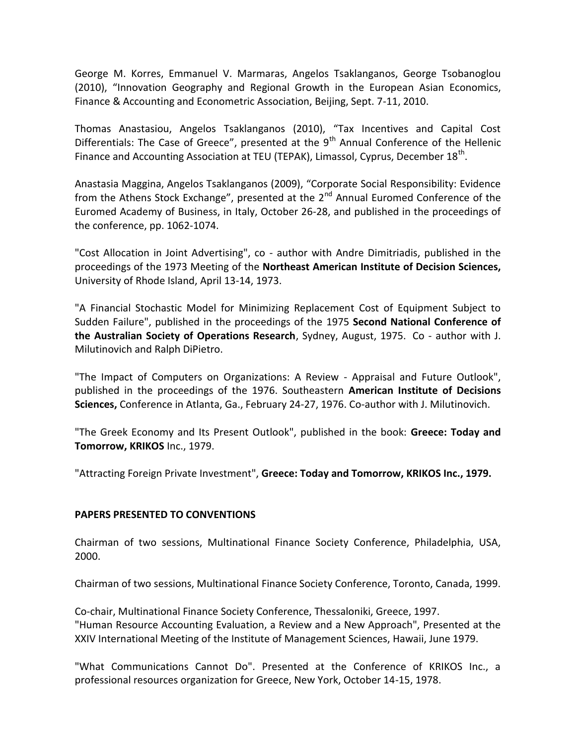George M. Korres, Emmanuel V. Marmaras, Angelos Tsaklanganos, George Tsobanoglou (2010), "Innovation Geography and Regional Growth in the European Asian Economics, Finance & Accounting and Econometric Association, Beijing, Sept. 7-11, 2010.

Thomas Anastasiou, Angelos Tsaklanganos (2010), "Tax Incentives and Capital Cost Differentials: The Case of Greece", presented at the  $9<sup>th</sup>$  Annual Conference of the Hellenic Finance and Accounting Association at TEU (TEPAK), Limassol, Cyprus, December 18<sup>th</sup>.

Anastasia Maggina, Angelos Tsaklanganos (2009), "Corporate Social Responsibility: Evidence from the Athens Stock Exchange", presented at the  $2<sup>nd</sup>$  Annual Euromed Conference of the Euromed Academy of Business, in Italy, October 26-28, and published in the proceedings of the conference, pp. 1062-1074.

"Cost Allocation in Joint Advertising", co - author with Andre Dimitriadis, published in the proceedings of the 1973 Meeting of the **Northeast American Institute of Decision Sciences,** University of Rhode Island, April 13-14, 1973.

"A Financial Stochastic Model for Minimizing Replacement Cost of Equipment Subject to Sudden Failure", published in the proceedings of the 1975 **Second National Conference of the Australian Society of Operations Research**, Sydney, August, 1975. Co - author with J. Milutinovich and Ralph DiPietro.

"The Impact of Computers on Organizations: A Review - Appraisal and Future Outlook", published in the proceedings of the 1976. Southeastern **American Institute of Decisions Sciences,** Conference in Atlanta, Ga., February 24-27, 1976. Co-author with J. Milutinovich.

"The Greek Economy and Its Present Outlook", published in the book: **Greece: Today and Tomorrow, KRIKOS** Inc., 1979.

"Attracting Foreign Private Investment", **Greece: Today and Tomorrow, KRIKOS Inc., 1979.**

## **PAPERS PRESENTED TO CONVENTIONS**

Chairman of two sessions, Multinational Finance Society Conference, Philadelphia, USA, 2000.

Chairman of two sessions, Multinational Finance Society Conference, Toronto, Canada, 1999.

Co-chair, Multinational Finance Society Conference, Thessaloniki, Greece, 1997. "Human Resource Accounting Evaluation, a Review and a New Approach", Presented at the XXIV International Meeting of the Institute of Management Sciences, Hawaii, June 1979.

"What Communications Cannot Do". Presented at the Conference of KRIKOS Inc., a professional resources organization for Greece, New York, October 14-15, 1978.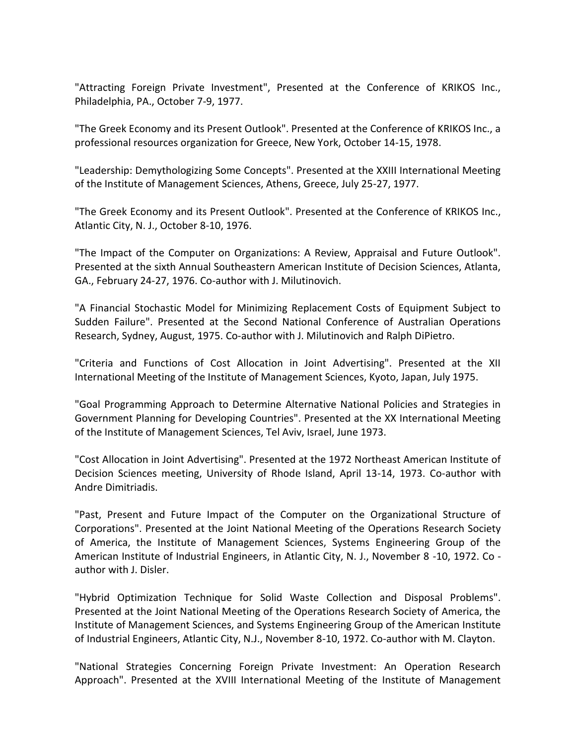"Attracting Foreign Private Investment", Presented at the Conference of KRIKOS Inc., Philadelphia, PA., October 7-9, 1977.

"The Greek Economy and its Present Outlook". Presented at the Conference of KRIKOS Inc., a professional resources organization for Greece, New York, October 14-15, 1978.

"Leadership: Demythologizing Some Concepts". Presented at the XXIII International Meeting of the Institute of Management Sciences, Athens, Greece, July 25-27, 1977.

"The Greek Economy and its Present Outlook". Presented at the Conference of KRIKOS Inc., Atlantic City, N. J., October 8-10, 1976.

"The Impact of the Computer on Organizations: A Review, Appraisal and Future Outlook". Presented at the sixth Annual Southeastern American Institute of Decision Sciences, Atlanta, GA., February 24-27, 1976. Co-author with J. Milutinovich.

"A Financial Stochastic Model for Minimizing Replacement Costs of Equipment Subject to Sudden Failure". Presented at the Second National Conference of Australian Operations Research, Sydney, August, 1975. Co-author with J. Milutinovich and Ralph DiPietro.

"Criteria and Functions of Cost Allocation in Joint Advertising". Presented at the XII International Meeting of the Institute of Management Sciences, Kyoto, Japan, July 1975.

"Goal Programming Approach to Determine Alternative National Policies and Strategies in Government Planning for Developing Countries". Presented at the XX International Meeting of the Institute of Management Sciences, Tel Aviv, Israel, June 1973.

"Cost Allocation in Joint Advertising". Presented at the 1972 Northeast American Institute of Decision Sciences meeting, University of Rhode Island, April 13-14, 1973. Co-author with Andre Dimitriadis.

"Past, Present and Future Impact of the Computer on the Organizational Structure of Corporations". Presented at the Joint National Meeting of the Operations Research Society of America, the Institute of Management Sciences, Systems Engineering Group of the American Institute of Industrial Engineers, in Atlantic City, N. J., November 8 -10, 1972. Co author with J. Disler.

"Hybrid Optimization Technique for Solid Waste Collection and Disposal Problems". Presented at the Joint National Meeting of the Operations Research Society of America, the Institute of Management Sciences, and Systems Engineering Group of the American Institute of Industrial Engineers, Atlantic City, N.J., November 8-10, 1972. Co-author with M. Clayton.

"National Strategies Concerning Foreign Private Investment: An Operation Research Approach". Presented at the XVIII International Meeting of the Institute of Management